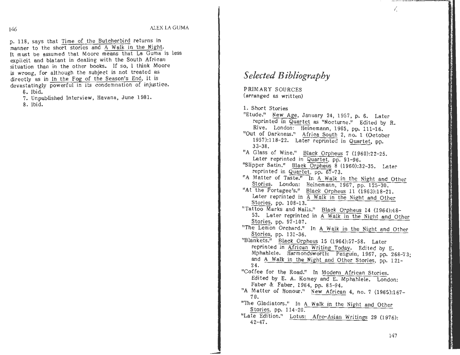p. 118, says that Time of the Butcherbird returns in manner to the short stories and A Welk in the Night. It must be assumed that Moore means that La Guma is less explicit and blatant in dealing with the South. African situation than in the other books. If so, 1 think Moore is wrong, for although the subject is not treated as directly as in In the Fog of the Season's End, it is. devastatingly powerful in its condemnation of injustice. 6. Ibid.

7. Unpublished Interview, Havana, June 1981.

8. Ibid.

## *Selected Bibliography*

PRIMARY SOURCES (arranged as written)

1. Short Stories

-

"Etude." New Age, January 24, 1957, p. 6. Later reprinted in Quartet as "Nocturne.1' Edited by R. Rive. London: Heinemann, 1965, pp. 111-16. "Out of Darkness." Africa South 2, no. 1 (October 195? ):118-2 2. Later reprinted in Quartet, pp. 33-38. **"A** Glass of Wine." Black Orpheus 7 (1960):22-25. Later reprinted in Quartet, pp. 91-96. "Slipper Satin." **Black** Orpheus 8 (1960):32-35. Later reprinted in Quartet, pp. 67-73. "A Matter of Taste." In A Walk in the Night and Other Stories. London: Heinemann, 1967, pp. 125-30. "At the Portagee's." Black Orpheus 11 (1963):18-21. Later reprinted in A Walk in the Night and Other Stories, pp. 108-13. "Tattoo Marks and Nails." Black Orpheus 14 (1964):48- 53. Later reprinted in A Walk in the Night and Other Stories, pp. 97-107. "The Lemon Orchard." In A Walk in the Night and Other Stories, pp. 131-36. "Blankets." Black Orpheus 15 (1964):57-58. Later reprinted in African Writing Today. Edited by E. Mphahlele. Harmondsworth: Penguin, 1967, pp. 268-73; and A Walk in the Night and Other Stories, pp. 121- **24.**  "Coffee for the Road." In Modern African Stories. Edited by E. A. Komey and E. Mphahlele. London: Faber & Faber, 196 **4,** pp. 8 5-94. "A Matter of Honour." New African **4,** no. 7 (1965):167- 70. "The Gladiators." In A Walk in the Night and Other Stories, pp. 114-20. "Late Edition." Lotus: Afro-Asian Writings 29 (1976): 42-47.

147

/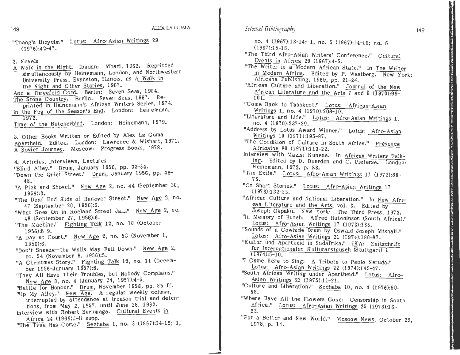148

"Thang's Bicycle." Lotus: Afro-Asian Writings 29  $(1976):42-47.$ 

2. Novels

A Walk in the Night. Ibadan: Mbari, 1962. Reprinted simultaneously by Heinemann, London, and Northwestern University Press, Evanston, Illinois, as A Walk in the Night and Other Stories, 1967. And a Threefold Cord. Berlin: Seven Seas, 1964. The Stone Country. Berlin: Seven Seas, 1967. Reprinted in Heinemann's African Writers Series, 1974. In the Fog of the Season's End. London: Heinemann, 1972. Time of the Butcherbird. London: Heinemann, 1979. 3. Other Books Written or Edited by Alex La Guma Apartheid. Edited. London: Lawrence & Wishart, 1971. A Soviet Journey. Moscow: Progress Books, 1978. 4. Articles, Interviews, Lectures 'Blind Alley." Drum, January 1956, pp. 33-34. "Down the Quiet Street." Drum, January 1956, pp. 46-48. "A Pick and Shovel." New Age 2, no. 44 (September 30,  $1956$ :3. "The Dead End Kids of Hanover Street." New Age 2, no. 47 (September 20, 1956):6. "What Goes On in Roeland Street Jail." New Age 2, no. 48 (September 27, 1956):6. "The Machine." Fighting Talk 12, no. 10 (October  $1956$ :8-9. "A Day at Court." New Age 2, no. 53 (November 1,  $1956$ :6. "Don't Sneeze-the Walls May Fall Down." New Age 2, no. 54 (November 8, 1956):5. "A Christmas Story." Fighting Talk 10, no. 11 (December 1956-January 1957):6. "They All Have Their Troubles, but Nobody Complains." New Age 3, no. 4 (January 24, 1957):4-5. "Battle for Honour." Drum. November 1958, pp. 85 ff. "Up My Alley." New Age. A regular weekly column, interrupted by attendance at treason trial and detentions, from May 2, 1957, until June 28, 1962. Interview with Robert Serumaga. Cultural Events in Africa 24 (1966):i-ii supp. "The Time Has Come." Sechaba 1, no. 3 (1967):14-15; 1,

## Selected Bibliography

no. 4 (1967):13-14; 1, no. 5 (1967):14-16; no. 6  $(1967):15-16.$ "The Third Afro-Asian Writers' Conference." Cultural Events in Africa 29 (1967):4-5. "The Writer in a Modern African State." In The Writer in Modern Africa. Edited by P. Wastberg. New York: Africana Publishing, 1969, pp. 21-24. "African Culture and Liberation." Journal of the New African Literature and the Arts 7 and 8 (1970):99- $101.$ "Come Back to Tashkent." Lotus: African-Asian Writings 1, no. 4 (1970):208-10. "Literature and Life." Lotus: Afro-Asian Writings 1, no. 4 (1970):237-39. "Address by Lotus Award Winner." Lotus: Afro-Asian Writings 10 (1971):195-97. "The Condition of Culture in South Africa." Présence Africaine 80 (1971):113-22. Interview with Mazisi Kunene. In African Writers Talking. Edited by D. Duerden and C. Pieterse. London: Heinemann, 1972, p. 88. "The Exile." Lotus: Afro-Asian Writings 11 (1972):68- $75.$ "On Short Stories." Lotus: Afro-Asian Writings 17  $(1973):132-33.$ "African Culture and National Liberation." In New African Literature and the Arts, vol. 3. Edited by Joseph Okpaku. New York: The Third Press, 1973. "In Memory of Hutch: Alfred Hutchinson (South Africa)." Lotus: Afro-Asian Writings 17 (1973):135. "Sounds of a Cowhide Drum by Oswald Joseph Mtshali." Lotus: Afro-Asian Writings 21 (1974):180-87. "Kultur und Apartheid in Sudafrika." IKA: Zeitschrift fur Internationalen Kulturanstausch (Stuttgart) 1  $(1974):5-10.$ "I Came Here to Sing: A Tribute to Pablo Neruda." Lotus: Afro-Asian Writings 22 (1974):145-47. "South African Writing under Apartheid." Lotus: Afro-Asian Writings 23 (1975):11-21. "Culture and Liberation." Sechaba 10, no. 4 (1976):50-58. "Where Have All the Flowers Gone: Censorship in South Africa." Lotus: Afro-Asian Writings 25 (1976):16- $23.$ "For a Better and New World." Moscow News, October 22, 1978, p. 14.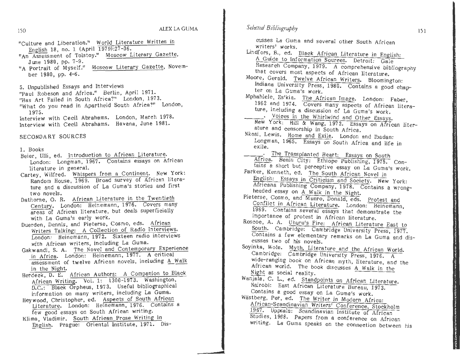## 150<br>ALEX LA GUMA

- "Culture and Liberation." World Literature <u>written in</u> English 18, no. 1 (April  $1979$ ): $27-36$ .
- "An Assessment of Tolstoy." Moscow Literary Gazette, June 1980, pp. 7-9.
- "A Portrait of Myself." Moscow Literary Gazette, November 1980, pp. 4-6.

5. Unpublished Essays and Interviews

"Paul Robeson and Africa." Berlin, April 1971.

"Has Art Failed in South Africa?" London, 1973.

"What do you read in Apartheid South Africa?" London, 1975.

 Interview with Cecil Abrahams. London, March 1978. Interview with Cecil Abrahams. Havana, June 1981.

SECONDARY SOURCES

1. Books

- Beier, Ulli, ed. Introduction to African Literature. London: Longman, 1967. Contains essays on African literature in general.
- Cartey, Wilfred. Whispers from a Continent. New York: Random House, 1969. Broad survey of African literature and a discussion of La Guma's stories and first two novels.
- Dathorne, O. R. African Literature in the Twentieth Century. London: Heinemann, 1976. Covers many areas of African literature, but deals superficially with La Guma's early work.
- Duerden, Dennis, and Pieterse, Cosmo, eds. African Writers Talking: A Collection of Radio Interviews. London: Heinemann, 1972. Sixteen radio interviews with African writers, including La Guma.
- Gakwandi, S. A. The Novel and Contemporary Experience in Africa. London: Helnemann, 1977. A critical assessment of twelve African novels, including A Walk in the Night.
- Herdeck, D. E. African Authors: A Companion to Black African Writing. Vol. 1: 1300-1973. Washington, D.C.: Black Orpheus, 197 3. Useful bibliographical information on many writers, including La Guma.
- Hey wood, Christopher, ed. Aspects of South African Literature. London: Heinemann, 1976. Contains a few good essays on South African writing.
- Klima, Vladimir. South African Prose Writing in English. Prague: Oriental Institute, 1971. Dis-

Selected Bibliography

cusses La Guma and several other South African<br>writers' works.<br>Lindfors, B., ed. Black African Literature in English:<br>A Guide to Information Sources. Detroit: Gale<br>Research Company, 1979. A comprehensive bibliography<br>that

- 
- 
- Mphahlele, Es'kia. The African Image. London: Faber, 1962 and 1974. Covers many aspects of African litera-<br>ture, including a discussion of La Guma's work.
- $t_1$  . Voices in the Whirlwind and Other Essays. New York: Hill & Wang, 1972. Essays on African liter-<br>ature and censorship in South Africa.
- Nkosi, Lewis. Home and Exile. London and Ibadan: Longman, 1965. Essays on South Africa and life in exile.
- Africa. Benin City: Ethiope Publishing, 1975. Con-The Transplanted Heart: Essays on South tams a short but perceptive essay on La Guma's work.
- Parker, Kenneth, ed. The South African Novel in English: Essays in Criticism and Society. New York: Africana Publishing Company, 1978. Contains a wrongheaded essay on A Walk in the Night.
- Pieterse, Cosmo, and Munro, Donald, eds. Protest and Conflict in Airican Literature. London: Heinemann. 1969. Contains several essays that demonstrate the importance of protest in African literature.
- Roscoe, A. A. Uhuru's Fire: African Literature East to South. Cambridge: Cambridge University Press, 1977. Contains a few elementary remarks on La Guma and discusses two of his novels.
- Soyinka, Wole. Myth, Literature and the African World. Cambridge: Cambridge University Press, 1976. A wide-ranging book on African myth, literature, and the African world. The book discusses  $A$  Walk in the Night as social reality.
- Wanjala, C. L., ed. Standpoints on African Literature. Nairobi: East African Literature Bureau, 1973. Contains a good essay on La Guma's work.

wastberg, Per, ed. The Writer in Modern Africa: African-Scandinavian Writers' Conference, Stockholm 1967. Uppsala: Scandinavian Institute of African Studies, 1968. Papers from a conference on African writing. La Guma speaks on the connection between his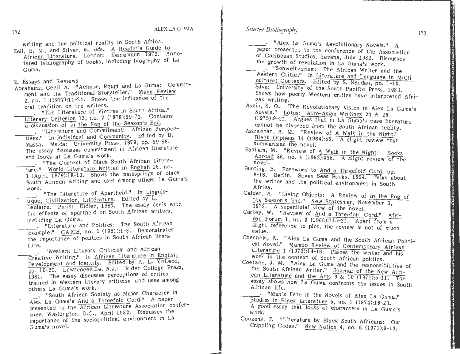Selected Bibliography

writing and the political reality in South Africa.

- Zell, H. M., and Silver, H., eds. A Reader's Guide to African Literature. London: Heinemann, 1972. Annotated bibliography of books, including biography of La Guma.
- 2. Essays and Reviews
- Abrahams, Cecil A. "Achebe, Ngugi and La Guma: Commitment and the Traditional Storyteller." Mana Review 2, no. 1 (1977):11-24. Shows the influence of the oral tradition on the writers.
	- ... "The Literature of Victims in South Africa." Literary Criterion 13, no. 2 (1978):59-72. Contains a discussion of In the Fog of the Season's End.
	- . "Literature and Commitment: African Perspectives." In Individual and Community. Edited by D. Massa. Msida: University Press, 1979, pp. 59-68. The essay discusses commitment in African literature and looks at La Guma's work.
	- . "The Context of Black South African Literature." World Literature Written in English 18, no. 1 (April 1979):18-19. Shows the mainsprings of black South African writing and uses among others La Guma's work.
	- . "The Literature of Apartheid." In Linguistique, Civilization, Littérature. Edited by L. Leclaire. Paris: Didier, 1980. The essay deals with the effects of apartheid on South African writers, including La Guma.
	- . "Literature and Politics: The South African Example." CARIB, no. 2 (1981):1-8. Demonstrates the importance of politics in South African literature.
	- . "Western Literary Criticism and African Creative Writing," In African Literature in English: Development and Identity. Edited by A. L. McLeod, pp. 10-22. Lawrenceville, N.J.: Rider College Press, 1981. The essay discusses perceptions of critics trained in Western literary criticism and uses among others La Guma's work.
	- . "South African Society as Major Character in Alex La Guma's And a Threefold Cord." A paper presented to the African Literature Association conference, Washington, D.C., April 1982. Discusses the importance of the sociopolitical environment in La Guma's novel.

- "Alex La Guma's Revolutionary Novels." A paper presented to the conference of the Association of Caribbean Studies, Havana, July 1982. Discusses the growth of revolution in La Guma's work. - "Schweitzerism: The African Writer and the

- Western Critic." In Literature and Language in Multicultural Contexts. Edited by S. Nandan, pp. 1-10. Suva: University of the South Pacific Press, 1983. Shows how poorly Western critics have interpreted African writing.
- Asein, S. O. "The Revolutionary Vision in Alex La Guma's Novels." Lotus: Afro-Asian Writings 24 & 25 (1975):9-21. Argues that in La Guma's case literature cannot be divorced from the South African reality.
- Astrachan, A. M. "Review of A Walk in the Night." Black Orpheus 14 (1964):59. A slight review that summarizes the novel.
- Banham, M. "Review of A Walk in the Night." Books Abroad 36, no. 4 (1962):458. A slight review of the  $novel.$
- Bunting, B. Foreword to And a Threefold Cord, pp. 9-16. Berlin: Seven Seas Books, 1964. Talks about the writer and the political environment in South Africa.
- Calder, A. "Living Objects: A Review of In the Fog of the Season's End." New Statesman, November 3. 1972. A superficial view of the novel.
- Cartey, W. "Review of And a Threefold Cord." African Forum 1, no. 3 (1966):115-21. Apart from a slight reference to plot, the review is not of much value.
- Chennels, A. "Alex La Guma and the South African Political Novel." Mambo Review of Contemporary African Literature 1 (1973):14-16. Places the writer and his work in the context of South African politics.
- Coetzee, J. M. "Alex La Guma and the responsibilities of the South African Writer." Journal of the New African Literature and the Arts 9 & 10 (1971):5-11. The essay shows how La Guma confronts the issues in South African life.
- Studies in Black Literature 5, no. 1 (1974):16-23. A good essay that looks at characters in La Guma's work.
- Couzens, T. "Literature by Black South Africans: Our Crippling Codes." New Nation 4, no. 6 (1971):9-13.

152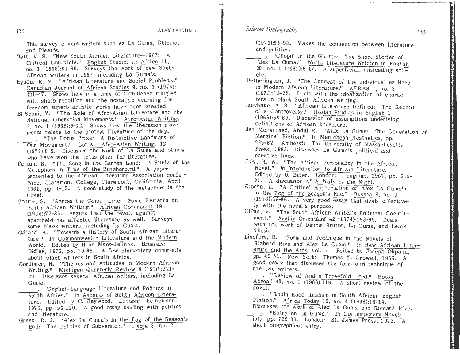154 ALEX LA GUMA

This survey covers writers such as La Guma, Dhlomo, and Plaatje.

- Dett, V. S. "New South African Literature-1967: A Critical Chronicle," English Studies *in* Africa 11, no. 1 (1968):61-69. Surveys the work of new South African writers in 1967, including La Guma's.
- Egudu, R. N. "African Literature and Social Problems." Canadian Journal of African Studies 9, no. 3 (1975}: 421-47. Shows how in a time of turbulence mingled with sharp rebellion and the nostalgic yearning for freedom superb artistic works have been created.
- El-Sebai, **Y.** "The Role of Afro-Asian Literature and the National Liberation Movements." Afro-Asian Writings 1, no. 1 (1968):5-12. Shows how the liberation movements relate to the protest literature of the day.
- "The Lotus Prize: A Distinctive Landmark of Our Movement." Lotus: Afro-Asian Writings 12 (1972):8-9. Discusses the work of La Guma and others who have won the Lotus prize for literature.
- Patton, K. "The Song in the Barren Land: A Study of the Metaphors in Time of the Butcherbird." A paper presented to the African Literature Association conference, Claremont College, Claremont, California, April 1981, pp. 1-15. A good study of the metaphors in the novel.
- Fourie, S. "Across the Colour Line: Some Remarks on South African Writing.<sup>11</sup> African Communist 19 (1964):77-85. Argues that the revolt against apartheid has affected literature as well. Surveys some black writers, including La Guma.
- Gérard, A. "Towards a History of South African Literature." In Commonwealth Literature and the Modern World. Edited by Hena Maes-Jelinek. Brussels: Didier, 1975, pp. 79-88. A few elementary comments about black writers in South Africa.
- Gordimer, **N.** "Themes and Attitudes in Modern African Writing." Michigan Quarterly Review 9 (1970):221- 29. Discusses several African writers, including La Guma.
	- "English-Language Literature and Politics in South Africa." In Aspects of South African Literature. Edited by C. Heywood. London; Heinemann, 1976, pp. 99-120. A good essay dealing with politics and literature.
- Green, R. J. "Alex La Guma's In the Fog of the Season's End: The Politics of Subversion." Umoja 3, no. 2

(1979):85-93. Makes the connection between literature and politics.

- \_\_\_ "Chopin in the Ghetto: The Short Stories of Alex La Guma." World Literature Written in English 20, no. 1 (1981):5-17. A superficial, misleading article.
- Hetherington, J. "The Concept of the Individual as Hero in Modern African Literature." AFRAS 1, no. 3 (1972):18-22. Deals **with** the idealization of characters in black South African writing.
- Izevbaye, A. S. "African Literature Defined; The Record of a Controversy." Ibadan Studies in English 1 (1969):56-69. Discussion of assumptions underlying definitions of African literature.
- Jan Mohammed, Abdul R. "Alex La Guma: The Generation of Marginal Fiction." In Manichean Aesthetics, pp. 225-62. Amherst: The University of Massachusetts Press, 1983. Discusses La Guma's political and creative lives.
- July, R. W. "The African Personality in the African Novel." In Introduction to African Literature. Edited by U. Beier. London: Longman, 1967, pp. 218-21. A discussion of A Walk in the Night.
- K1bera, L. "A Critical Appreciation of Alex La Guma's In the Fog of the Season's End." Busara 8, no. 1 (1976):59-66. A very good essay that deals effectively with the novel's purpose.
- Klima, V. "The South African Writer's Political Commitment.<sup>8</sup> Archiv Orientální 42 (1974):193-99. Deals with the work of Dennis Brutus, La Guma, and Lewis N kosi.
- Lindfors, 8. "Form and Technique in the Novels of Richard Rive and Alex La Guma." In New African Literature and the Arts, vol. 1. Edited by Joseph Okpaku, pp. 42-51. New York: Thomas Y. Crowell, 1966. A good essay that discusses the form and technique of the two writers.
- -~-· "Review of And a Threefold Cord." Books Abroad 40, no. 1 (1966):116. A short reviewof the novel.

Fiction." Africa Today 15, no. 4  $(1968):16-19$ . . "Robin Hood Realism in South African English Discusses the **work** of Alex La Guma and Richard *Rive.*  --.- "Entry on La Guma." In Contemporary Novelists, pp. 7 35-36. London: St. James Press, 1972. A short biographical entry.